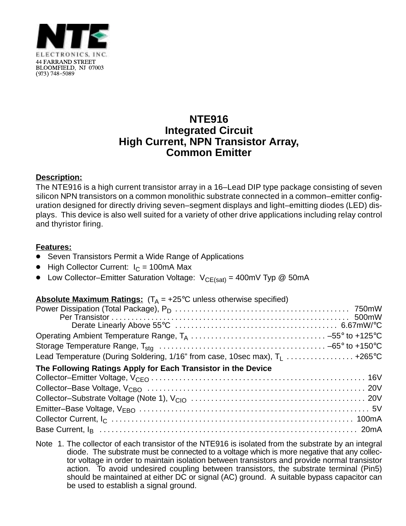

## **NTE916 Integrated Circuit High Current, NPN Transistor Array, Common Emitter**

### **Description:**

The NTE916 is a high current transistor array in a 16–Lead DIP type package consisting of seven silicon NPN transistors on a common monolithic substrate connected in a common–emitter configuration designed for directly driving seven–segment displays and light–emitting diodes (LED) displays. This device is also well suited for a variety of other drive applications including relay control and thyristor firing.

#### **Features:**

- -<br>• Seven Transistors Permit a Wide Range of Applications
- $\bullet$  High Collector Current:  $I_C = 100$ mA Max
- Low Collector–Emitter Saturation Voltage:  $V_{CE(sat)} = 400$ mV Typ @ 50mA

## **Absolute Maximum Ratings:**  $(T_A = +25^{\circ}C$  unless otherwise specified)

| Lead Temperature (During Soldering, 1/16" from case, 10sec max), $T_1$ +265°C |  |
|-------------------------------------------------------------------------------|--|
| The Following Ratings Apply for Each Transistor in the Device                 |  |
|                                                                               |  |
|                                                                               |  |
|                                                                               |  |
|                                                                               |  |
|                                                                               |  |
|                                                                               |  |

Note 1. The collector of each transistor of the NTE916 is isolated from the substrate by an integral diode. The substrate must be connected to a voltage which is more negative that any collector voltage in order to maintain isolation between transistors and provide normal transistor action. To avoid undesired coupling between transistors, the substrate terminal (Pin5) should be maintained at either DC or signal (AC) ground. A suitable bypass capacitor can be used to establish a signal ground.